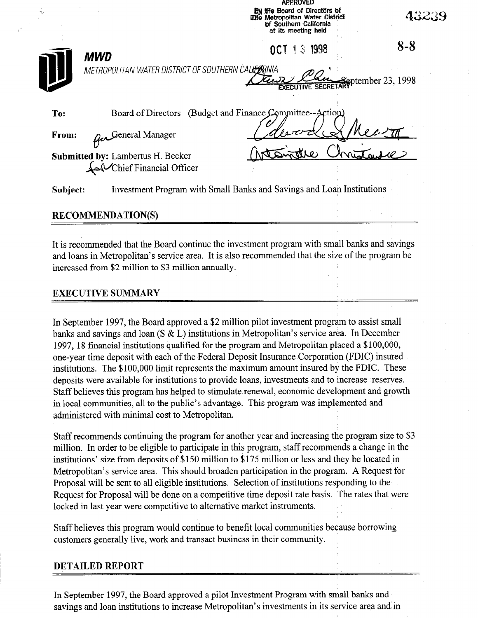|          |                                                                       | <b>By the Board of Directors of</b><br>The Metropolitan Water District<br>of Southern California<br>at its meeting held | 43239                                     |
|----------|-----------------------------------------------------------------------|-------------------------------------------------------------------------------------------------------------------------|-------------------------------------------|
|          | <b>MWD</b><br>METROPOLITAN WATER DISTRICT OF SOUTHERN CALLERNIA       | 1 3 1998<br>OCT.                                                                                                        | $8 - 8$<br><del>Sep</del> tember 23, 1998 |
| To:      | Board of Directors                                                    | (Budget and Finance Committee--Action)                                                                                  |                                           |
| From:    | General Manager                                                       |                                                                                                                         |                                           |
|          | <b>Submitted by: Lambertus H. Becker</b><br>Chief Financial Officer   |                                                                                                                         |                                           |
| Subject: | Investment Program with Small Banks and Savings and Loan Institutions |                                                                                                                         |                                           |

APPROVED

## RECOMMENDATION(S)

It is recommended that the Board continue the investment program with small banks and savings and loans in Metropolitan's service area. It is also recommended that the size of the program be increased from \$2 million to \$3 million annually.

## EXECUTIVE SUMMARY

In September 1997, the Board approved a \$2 million pilot investment program to assist small  $\mu$  is banks and saving and savings and  $\mu$  in  $\mu$  in  $\mu$  is  $\mu$  in  $\mu$  is service and  $\mu$  $1997, 1897, 1897, 1804, 1996, 1997, 1997, 1997, 1997, 1997, 1997, 1997, 1997, 1997, 1997, 1997, 1997, 1997, 1997, 1997, 1997, 1997, 1997, 1997, 1997, 1997, 1997, 1997, 1997, 1997, 1997, 1997, 1997, 1997, 1997, 1997, 1997$  $\frac{1}{2}$ , to mancial institutions quanticular to the program and incurporation praced a  $\frac{1}{2}$  is  $\frac{1}{2}$ interview this deposit with each of the redetal Deposit his matter. Corporation (1 DTC) insured institutions. The \$100,000 limit represents the maximum amount insured by the FDIC. These deposits were available for institutions to provide loans, investments and to increase reserves. Staff believes this program has helped to stimulate renewal, economic development and growth in local communities, all to the public's advantage. This program was implemented and administered with minimal cost to Metropolitan.

Staff recommends continuing the program for another year another year another year and increasing the program size to  $\bar{3}$ Staff recommends continuing the program for another year and increasing the program size to  $\delta$ million. In order to be eligible to participate in this program, staff recommends a change in the institutions' size from deposits of \$150 million to \$175 million or less and they be located in Metropolitan's service area. This should broaden participation in the program. A Request for Proposal will be sent to all eligible institutions. Selection of institutions responding to the Request for Proposal will be done on a competitive time deposit rate basis. The rates that were locked in last year were competitive to alternative market instruments.

Staff believes this program would continue to benefit local communities because borrowing customers generally live, work and transact business in their community.

Staff believes this program would continue to benefit local communities because borrowing

# **DETAILED REPORT**

In September 1997, the Board approved a pilot Investment Program with small banks and savings and loan institutions to increase Metropolitan's investments in its service area and in

In September 1997, the Board approved a pilot Investment Program with small banks and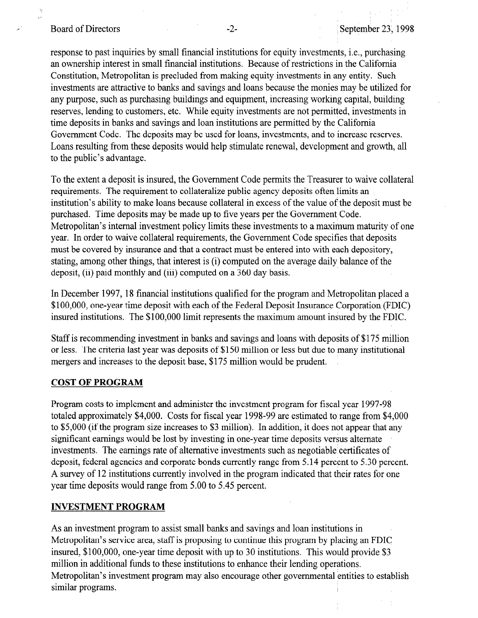#### Board of Directors -2- September 23, 1998

response to past inquiries by small financial institutions for equity investments, i.e., purchasing an ownership interest in small financial institutions. Because of restrictions in the California Constitution, Metropolitan is precluded from making equity investments in any entity. Such investments are attractive to banks and savings and loans because the monies may be utilized for any purpose, such as purchasing buildings and equipment, increasing working capital, building reserves, lending to customers, etc. While equity investments are not permitted, investments in time deposits in banks and savings and loan institutions are permitted by the California Government Code. The deposits may be used for loans, investments, and to increase reserves. Loans resulting from these deposits would help stimulate renewal, development and growth, all to the public's advantage.

To the extent a deposit is insured, the Government Code permits the Treasurer to waive collateral requirements. The requirement to collateralize public agency deposits often limits an institution's ability to make loans because collateral in excess of the value of the deposit must be purchased. Time deposits may be made up to five years per the Government Code. Metropolitan's internal investment policy limits these investments to a maximum maturity of one year. In order to waive collateral requirements, the Government Code specifies that deposits must be covered by insurance and that a contract must be entered into with each depository, stating, among other things, that interest is (i) computed on the average daily balance of the deposit, (ii) paid monthly and (iii) computed on a 360 day basis.

In December 1997, 18 financial institutions qualified for the program and Metropolitan placed a  $100$ , one-year time deposite the federal deposite of the Federal Deposite Insurance Corporation (Figure Corporation (Figure Corporation of the Federal Deposite Corporation (Figure Corporation of the Federal Deposite Corpo functions, one-year time deposit with each of the Federal Deposit histitative corporation (FDIC.

Staff is recommending investment in banks and savings and loans with deposits of \$175 million Start is recommending investment in banks and savings and foans with deposits of \$170 million or less. The criteria last year was deposits of \$150 million or less but due to many institutional mergers and increases to the deposit base, \$175 million would be prudent.

#### COST OF PROGRAM

rogram costs to implement and administer the investment program for fiscal year 1997-98 totaled approximately \$4,000. Costs for fiscal year 1998-99 are estimated to range from \$4,000 to \$5,000 (if the program size increases to \$3 million). In addition, it does not appear that any significant earnings would be lost by investing in one-year time deposits versus alternate investments. The earnings rate of alternative investments such as negotiable certificates of deposit, federal agencies and corporate bonds currently range from 5.14 percent to 5.30 percent. A survey of 12 institutions currently involved in the program indicated that their rates for one year time deposits would range from 5.00 to 5.45 percent.

#### **INVESTMENT PROGRAM**

As an investment program to assist small banks and savings and loan institutions in Metropolitan's service area, staff is proposing to continue this program by placing an FDIC insured,  $$100,000$ , one-year time deposit with up to 30 institutions. This would provide  $$3$ million in additional funds to these institutions to enhance their lending operations. Metropolitan's investment program may also encourage other governmental entities to establish similar programs.